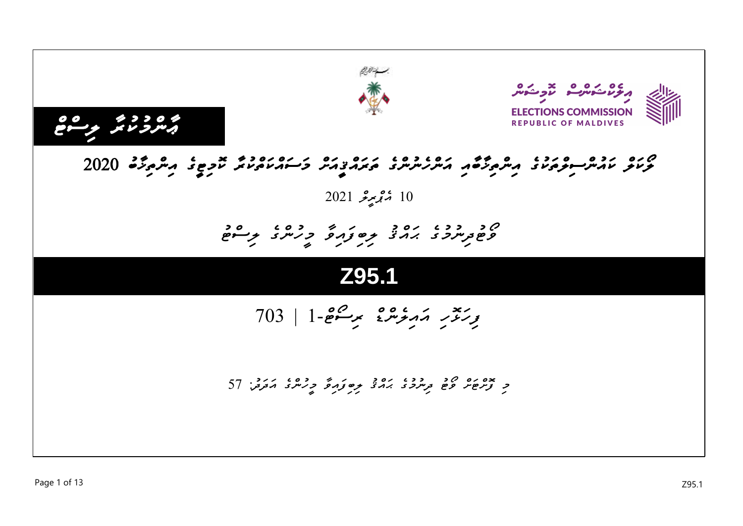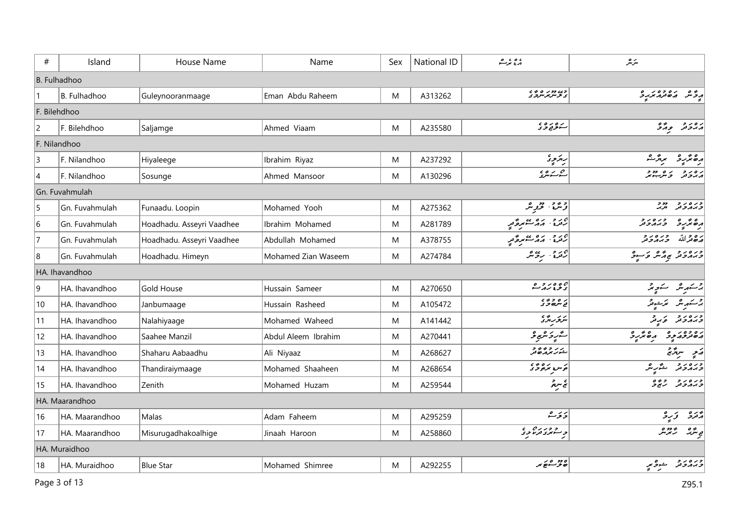| #              | Island         | House Name                | Name                | Sex       | <b>National ID</b> | ، ه ، ره<br>مره برگ                              | يترمثر                                                                                                                                                                                                                          |
|----------------|----------------|---------------------------|---------------------|-----------|--------------------|--------------------------------------------------|---------------------------------------------------------------------------------------------------------------------------------------------------------------------------------------------------------------------------------|
|                | B. Fulhadhoo   |                           |                     |           |                    |                                                  |                                                                                                                                                                                                                                 |
|                | B. Fulhadhoo   | Guleynooranmaage          | Eman Abdu Raheem    | M         | A313262            | و در و در ه و د بر<br>می موسویس پر بر            | ر محمد مصر معدد                                                                                                                                                                                                                 |
|                | F. Bilehdhoo   |                           |                     |           |                    |                                                  |                                                                                                                                                                                                                                 |
| $\mathcal{P}$  | F. Bilehdhoo   | Saljamge                  | Ahmed Viaam         | M         | A235580            | ر ه د ه ،<br>سروج و د                            | גם ג פתיכ                                                                                                                                                                                                                       |
|                | F. Nilandhoo   |                           |                     |           |                    |                                                  |                                                                                                                                                                                                                                 |
| $\overline{3}$ | F. Nilandhoo   | Hiyaleege                 | Ibrahim Riyaz       | M         | A237292            | ر پرېږ ؟                                         | رەتزىر ئىرتى                                                                                                                                                                                                                    |
| $\overline{4}$ | F. Nilandhoo   | Sosunge                   | Ahmed Mansoor       | M         | A130296            | جريره ۽                                          | ره ر د در در در د<br>پرپروتر کوشیدنمر                                                                                                                                                                                           |
|                | Gn. Fuvahmulah |                           |                     |           |                    |                                                  |                                                                                                                                                                                                                                 |
| 5              | Gn. Fuvahmulah | Funaadu. Loopin           | Mohamed Yooh        | M         | A275362            | ژىندى تۇپرىتىر                                   | و ره ر و<br><i>و پر</i> و تر                                                                                                                                                                                                    |
| 6              | Gn. Fuvahmulah | Hoadhadu. Asseyri Vaadhee | Ibrahim Mohamed     | M         | A281789            | ج رحب مده عدم معردة مد<br>  روح مده المسلم مراجع | و ر ه ر د<br><i>و پر</i> و تر<br>ە ھەترىر <sup>ە</sup>                                                                                                                                                                          |
| $\overline{7}$ | Gn. Fuvahmulah | Hoadhadu. Asseyri Vaadhee | Abdullah Mohamed    | M         | A378755            | ج ر و ده ده سور ده د                             | برە تراللە<br>و رە ر د<br><i>د بە</i> پەر                                                                                                                                                                                       |
| 8              | Gn. Fuvahmulah | Hoadhadu. Himeyn          | Mohamed Zian Waseem | ${\sf M}$ | A274784            | ج رج، رب <mark>ي ج</mark> و                      | ورەرو برقرۇسوۋ                                                                                                                                                                                                                  |
|                | HA. Ihavandhoo |                           |                     |           |                    |                                                  |                                                                                                                                                                                                                                 |
| 9              | HA. Ihavandhoo | <b>Gold House</b>         | Hussain Sameer      | ${\sf M}$ | A270650            | ە ە ە ر دەر<br>ئەنزى ئىرەرگ                      | يز سكر مكر مسكر مركز الم                                                                                                                                                                                                        |
| 10             | HA. Ihavandhoo | Janbumaage                | Hussain Rasheed     | M         | A105472            | ر ه د و »<br>تع سرحه تر د                        | ج کے مرکز مرکب مرکب کے مرکز کے مرکز اور کر اس کے مرکز کے مرکز کے مرکز کے مرکز کے مرکز کے مرکز کے مرکز کے مرکز<br>مرکز کے مرکز کے مرکز کے مرکز کے مرکز کے مرکز کے مرکز کے مرکز کے مرکز کے مرکز کے مرکز کے مرکز کے مرکز کے مرکز ک |
| 11             | HA. Ihavandhoo | Nalahiyaage               | Mohamed Waheed      | M         | A141442            | ىئە ئۆسرەترى<br>سىرى <i>خى</i> رىر               | ورەر دىر د                                                                                                                                                                                                                      |
| 12             | HA. Ihavandhoo | Saahee Manzil             | Abdul Aleem Ibrahim | M         | A270441            | <i>گەر ئە</i> ھبىر بى                            | גם בפגב גם הבינב                                                                                                                                                                                                                |
| 13             | HA. Ihavandhoo | Shaharu Aabaadhu          | Ali Niyaaz          | M         | A268627            | ر ر د د د د<br>شر ر بر د ځ تر                    | أوسمع المسترجم                                                                                                                                                                                                                  |
| 14             | HA. Ihavandhoo | Thandiraiymaage           | Mohamed Shaaheen    | ${\sf M}$ | A268654            |                                                  | ورەرو شرىر                                                                                                                                                                                                                      |
| 15             | HA. Ihavandhoo | Zenith                    | Mohamed Huzam       | ${\sf M}$ | A259544            | ي<br>سم سرچ                                      | ورەر د دەە<br><i>دىد</i> ردىر رى                                                                                                                                                                                                |
|                | HA. Maarandhoo |                           |                     |           |                    |                                                  |                                                                                                                                                                                                                                 |
| 16             | HA. Maarandhoo | Malas                     | Adam Faheem         | M         | A295259            | ئەئرىشە                                          | أرمزو تررو                                                                                                                                                                                                                      |
| 17             | HA. Maarandhoo | Misurugadhakoalhige       | Jinaah Haroon       | ${\sf M}$ | A258860            | و رحمت در در م<br>و سنگوی تورد و ی               | تردد ه<br>و شر <sup>ه</sup>                                                                                                                                                                                                     |
|                | HA. Muraidhoo  |                           |                     |           |                    |                                                  |                                                                                                                                                                                                                                 |
| 18             | HA. Muraidhoo  | <b>Blue Star</b>          | Mohamed Shimree     | M         | A292255            | ە دورە بەر<br>ھۆرسىۋىر                           | ورەرو ھوير                                                                                                                                                                                                                      |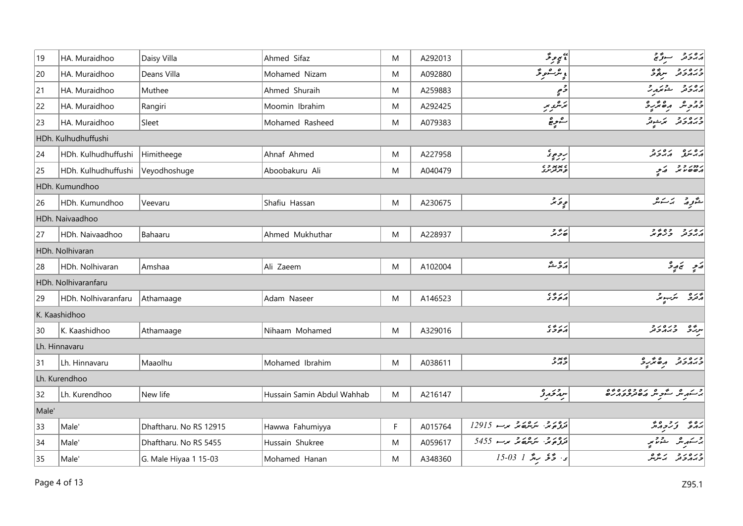| 19    | HA. Muraidhoo       | Daisy Villa            | Ahmed Sifaz                | M           | A292013 | ېم پېړۍ تر                                                          | أرور والمسوقري                         |
|-------|---------------------|------------------------|----------------------------|-------------|---------|---------------------------------------------------------------------|----------------------------------------|
| 20    | HA. Muraidhoo       | Deans Villa            | Mohamed Nizam              | M           | A092880 | ، پرګ موځه                                                          | ورەرو سۆۋ                              |
| 21    | HA. Muraidhoo       | Muthee                 | Ahmed Shuraih              | M           | A259883 | و<br>حرمج                                                           | رەرو شەر                               |
| 22    | HA. Muraidhoo       | Rangiri                | Moomin Ibrahim             | M           | A292425 | برىر<br>مەشرىر                                                      | ورومر رەئزىر                           |
| 23    | HA. Muraidhoo       | Sleet                  | Mohamed Rasheed            | M           | A079383 | سكوچ                                                                | ورەرو كەنبەتر                          |
|       | HDh. Kulhudhuffushi |                        |                            |             |         |                                                                     |                                        |
| 24    | HDh. Kulhudhuffushi | Himitheege             | Ahnaf Ahmed                | M           | A227958 | ر و هو د<br>ر ريو                                                   | برە برە برەر                           |
| 25    | HDh. Kulhudhuffushi | Veyodhoshuge           | Aboobakuru Ali             | M           | A040479 | ړ پوپو و ړ<br>تو پر تر سر پ                                         |                                        |
|       | HDh. Kumundhoo      |                        |                            |             |         |                                                                     |                                        |
| 26    | HDh. Kumundhoo      | Veevaru                | Shafiu Hassan              | M           | A230675 | ە ئە ئەتر<br>ئە                                                     | ڪوري پرڪش                              |
|       | HDh. Naivaadhoo     |                        |                            |             |         |                                                                     |                                        |
| 27    | HDh. Naivaadhoo     | Bahaaru                | Ahmed Mukhuthar            | M           | A228937 | ەرپەر                                                               | ره رو وه دو.<br>مهرونس ورهمه           |
|       | HDh. Nolhivaran     |                        |                            |             |         |                                                                     |                                        |
| 28    | HDh. Nolhivaran     | Amshaa                 | Ali Zaeem                  | M           | A102004 | برەيئە                                                              | أتذبح بخامياته                         |
|       | HDh. Nolhivaranfaru |                        |                            |             |         |                                                                     |                                        |
| 29    | HDh. Nolhivaranfaru | Athamaage              | Adam Naseer                | M           | A146523 | ر ر د »<br>د ه د د                                                  | وكرو الكرسومر                          |
|       | K. Kaashidhoo       |                        |                            |             |         |                                                                     |                                        |
| 30    | K. Kaashidhoo       | Athamaage              | Nihaam Mohamed             | M           | A329016 | ر ر د »<br>پره <del>ر</del> د                                       | سرجان وره د و.<br>سربرگر از جاند و تعر |
|       | Lh. Hinnavaru       |                        |                            |             |         |                                                                     |                                        |
| 31    | Lh. Hinnavaru       | Maaolhu                | Mohamed Ibrahim            | M           | A038611 | پر بر و<br>و آر ک                                                   | כמחכת הסתניב                           |
|       | Lh. Kurendhoo       |                        |                            |             |         |                                                                     |                                        |
| 32    | Lh. Kurendhoo       | New life               | Hussain Samin Abdul Wahhab | M           | A216147 | سرچم ترو                                                            |                                        |
| Male' |                     |                        |                            |             |         |                                                                     |                                        |
| 33    | Male'               | Dhaftharu. No RS 12915 | Hawwa Fahumiyya            | $\mathsf F$ | A015764 | تروم پر. سَرْسْھَ پُر - 12915                                       | برە زرەپەر                             |
| 34    | Male'               | Dhaftharu. No RS 5455  | Hussain Shukree            | M           | A059617 | رەرى ئەنگەن ئەن 5455                                                | جر شہر میں مقام ہے<br>م                |
| 35    | Male'               | G. Male Hiyaa 1 15-03  | Mohamed Hanan              | M           | A348360 | $15-03$ $1 \stackrel{\bullet}{\sim} 3$ $\stackrel{\bullet}{\sim} 3$ | ورەرو بەش                              |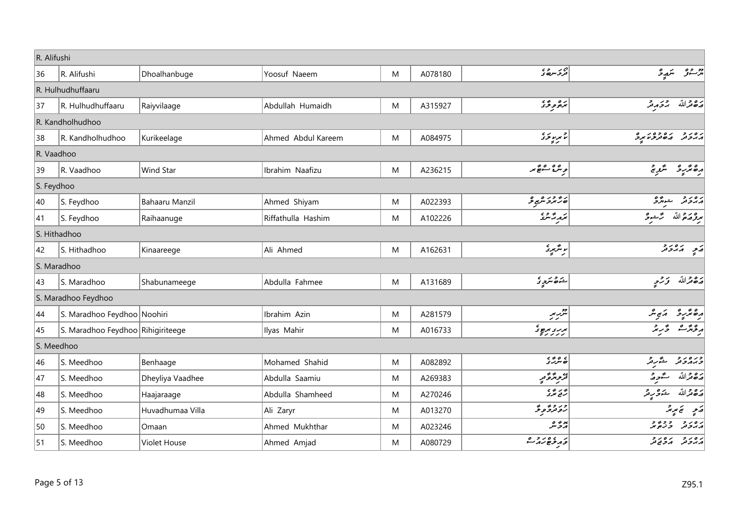| R. Alifushi |                                   |                       |                    |           |         |                                   |                                                                                                                                                                                                                                                                                                                             |
|-------------|-----------------------------------|-----------------------|--------------------|-----------|---------|-----------------------------------|-----------------------------------------------------------------------------------------------------------------------------------------------------------------------------------------------------------------------------------------------------------------------------------------------------------------------------|
| 36          | R. Alifushi                       | Dhoalhanbuge          | Yoosuf Naeem       | M         | A078180 | ہ ر د د ء<br>ترتر سر <i>ھ ی</i>   | سمدود<br>دز مەدى                                                                                                                                                                                                                                                                                                            |
|             | R. Hulhudhuffaaru                 |                       |                    |           |         |                                   |                                                                                                                                                                                                                                                                                                                             |
| 37          | R. Hulhudhuffaaru                 | Raiyvilaage           | Abdullah Humaidh   | M         | A315927 | ىرە ھەتتى<br>ئىزە ھەمىسى          | مَصْعَراللّه بركرمر                                                                                                                                                                                                                                                                                                         |
|             | R. Kandholhudhoo                  |                       |                    |           |         |                                   |                                                                                                                                                                                                                                                                                                                             |
| 38          | R. Kandholhudhoo                  | Kurikeelage           | Ahmed Abdul Kareem | M         | A084975 | ئەبرىدىمى<br>  ئاسرىيە بىرى       | נפני נפיפנים<br>הגבע הסעיפית                                                                                                                                                                                                                                                                                                |
| R. Vaadhoo  |                                   |                       |                    |           |         |                                   |                                                                                                                                                                                                                                                                                                                             |
| 39          | R. Vaadhoo                        | <b>Wind Star</b>      | Ibrahim Naafizu    | ${\sf M}$ | A236215 | ع مثن مشقعه                       | سَّرُوِجُ<br>ەر ھەترىر <i>2</i>                                                                                                                                                                                                                                                                                             |
| S. Feydhoo  |                                   |                       |                    |           |         |                                   |                                                                                                                                                                                                                                                                                                                             |
| 40          | S. Feydhoo                        | <b>Bahaaru Manzil</b> | Ahmed Shiyam       | ${\sf M}$ | A022393 | ە ئەبرىز ئىرىپى ئى                | $\begin{pmatrix} 0 & 0 & 0 & 0 & 0 \\ 0 & 0 & 0 & 0 & 0 \\ 0 & 0 & 0 & 0 & 0 \\ 0 & 0 & 0 & 0 & 0 \\ 0 & 0 & 0 & 0 & 0 \\ 0 & 0 & 0 & 0 & 0 \\ 0 & 0 & 0 & 0 & 0 \\ 0 & 0 & 0 & 0 & 0 \\ 0 & 0 & 0 & 0 & 0 \\ 0 & 0 & 0 & 0 & 0 \\ 0 & 0 & 0 & 0 & 0 \\ 0 & 0 & 0 & 0 & 0 & 0 \\ 0 & 0 & 0 & 0 & 0 & 0 \\ 0 & 0 & 0 & 0 & $ |
| 41          | S. Feydhoo                        | Raihaanuge            | Riffathulla Hashim | M         | A102226 | بر بر بر د ،<br>مرد بر سر         | مروح حرفه الله گرشود                                                                                                                                                                                                                                                                                                        |
|             | S. Hithadhoo                      |                       |                    |           |         |                                   |                                                                                                                                                                                                                                                                                                                             |
| 42          | S. Hithadhoo                      | Kinaareege            | Ali Ahmed          | M         | A162631 | ىر مترىبرى<br>بر                  | أړنو پرورو                                                                                                                                                                                                                                                                                                                  |
|             | S. Maradhoo                       |                       |                    |           |         |                                   |                                                                                                                                                                                                                                                                                                                             |
| 43          | S. Maradhoo                       | Shabunameege          | Abdulla Fahmee     | ${\sf M}$ | A131689 | ے کے سر <sub>حی</sub> کی          | صصرالله وترحي                                                                                                                                                                                                                                                                                                               |
|             | S. Maradhoo Feydhoo               |                       |                    |           |         |                                   |                                                                                                                                                                                                                                                                                                                             |
| 44          | S. Maradhoo Feydhoo Noohiri       |                       | Ibrahim Azin       | ${\sf M}$ | A281579 | چژبر بر<br>سربر                   |                                                                                                                                                                                                                                                                                                                             |
| 45          | S. Maradhoo Feydhoo Rihigiriteege |                       | Ilyas Mahir        | M         | A016733 | ا پر ری بر جا دی<br>سر ری بر جا د | روبرے وری <sub>د</sub>                                                                                                                                                                                                                                                                                                      |
|             | S. Meedhoo                        |                       |                    |           |         |                                   |                                                                                                                                                                                                                                                                                                                             |
| 46          | S. Meedhoo                        | Benhaage              | Mohamed Shahid     | ${\sf M}$ | A082892 | ې ۵ پرې<br>خ <i>ه مرگ</i> ي       | ورەرو شرىر<br><i>دىنەدى</i> ر شرىر                                                                                                                                                                                                                                                                                          |
| 47          | S. Meedhoo                        | Dheyliya Vaadhee      | Abdulla Saamiu     | M         | A269383 | تشرو ترگر تو                      | ستمره<br>ەھىراللە                                                                                                                                                                                                                                                                                                           |
| 48          | S. Meedhoo                        | Haajaraage            | Abdulla Shamheed   | M         | A270246 | ہ ر د د<br>رقع ہوی                | ستوگر تر<br>برە قراللە                                                                                                                                                                                                                                                                                                      |
| 49          | S. Meedhoo                        | Huvadhumaa Villa      | Ali Zaryr          | M         | A013270 | <i>ر د و و څ</i>                  | أرشح بمستح سيرتكز                                                                                                                                                                                                                                                                                                           |
| 50          | S. Meedhoo                        | Omaan                 | Ahmed Mukhthar     | M         | A023246 | بر دی<br>مرح س                    | ره رو ووډو<br>مهرونو ورهمر                                                                                                                                                                                                                                                                                                  |
| 51          | S. Meedhoo                        | <b>Violet House</b>   | Ahmed Amjad        | ${\sf M}$ | A080729 | ۇرۇھ رەر م                        | ر ەر د پرەر د<br>مەركىس مەرقى تىر                                                                                                                                                                                                                                                                                           |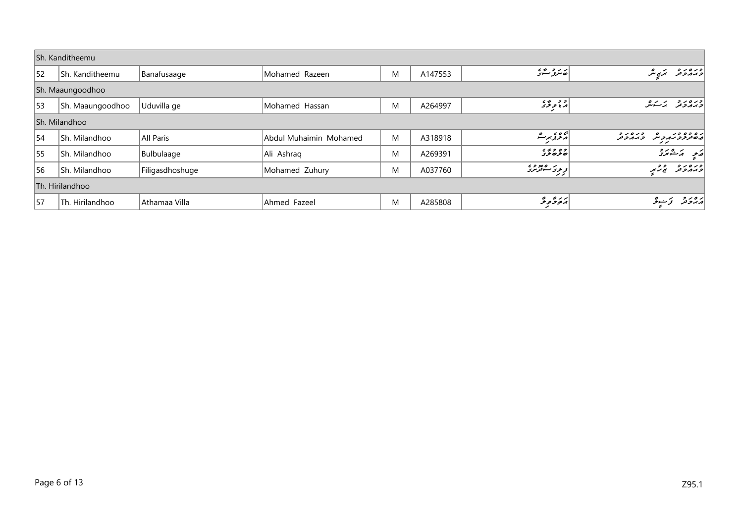|    | <b>Sh. Kanditheemu</b> |                 |                        |   |         |                                 |                                                                     |
|----|------------------------|-----------------|------------------------|---|---------|---------------------------------|---------------------------------------------------------------------|
| 52 | Sh. Kanditheemu        | Banafusaage     | Mohamed Razeen         | M | A147553 | پر بر دیم می<br>  جا سربی مسکوی | ورەرو ترى ش                                                         |
|    | Sh. Maaungoodhoo       |                 |                        |   |         |                                 |                                                                     |
| 53 | Sh. Maaungoodhoo       | Uduvilla ge     | Mohamed Hassan         | M | A264997 | د د په په<br>  د نا و تر د      | ورەرو برخش                                                          |
|    | Sh. Milandhoo          |                 |                        |   |         |                                 |                                                                     |
| 54 | Sh. Milandhoo          | All Paris       | Abdul Muhaimin Mohamed | M | A318918 | د و د بر ۹                      | ر ه د ه د ر<br>ه ه تر تر تر بر تر ش<br>و ره ر د<br>تر <i>پر</i> وتر |
| 55 | Sh. Milandhoo          | Bulbulaage      | Ali Ashraq             | M | A269391 | و و و د »<br><b>ت</b> ه نومو د  | ړیږ پر شویرتی                                                       |
| 56 | Sh. Milandhoo          | Filigasdhoshuge | Mohamed Zuhury         | M | A037760 | و بر صعود ء                     | כממכב ברא                                                           |
|    | Th. Hirilandhoo        |                 |                        |   |         |                                 |                                                                     |
| 57 | Th. Hirilandhoo        | Athamaa Villa   | Ahmed Fazeel           | M | A285808 | پر پر په پخه                    | پر ژ و<br>مشوقر                                                     |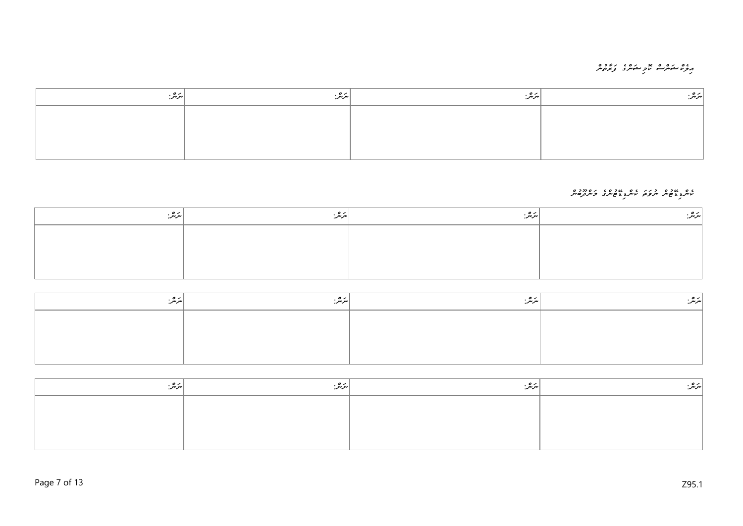## *w7qAn8m?sCw7mRo>u;wEw7mRw;sBo<*

| ' مرمر | 'يئرىثر: |
|--------|----------|
|        |          |
|        |          |
|        |          |

## *w7q9r@w7m>sCw7qHtFoFw7s;mAm=q7w7qHtFoFw7s;*

| ىر تە | $\mathcal{O} \times$<br>$\sim$ | $\sim$<br>. . | لترنثر |
|-------|--------------------------------|---------------|--------|
|       |                                |               |        |
|       |                                |               |        |
|       |                                |               |        |

| انترنثر: | $^{\circ}$ | يبرهر | $^{\circ}$<br>سرسر |
|----------|------------|-------|--------------------|
|          |            |       |                    |
|          |            |       |                    |
|          |            |       |                    |

| ' ئىرتىر: | سر سر |  |
|-----------|-------|--|
|           |       |  |
|           |       |  |
|           |       |  |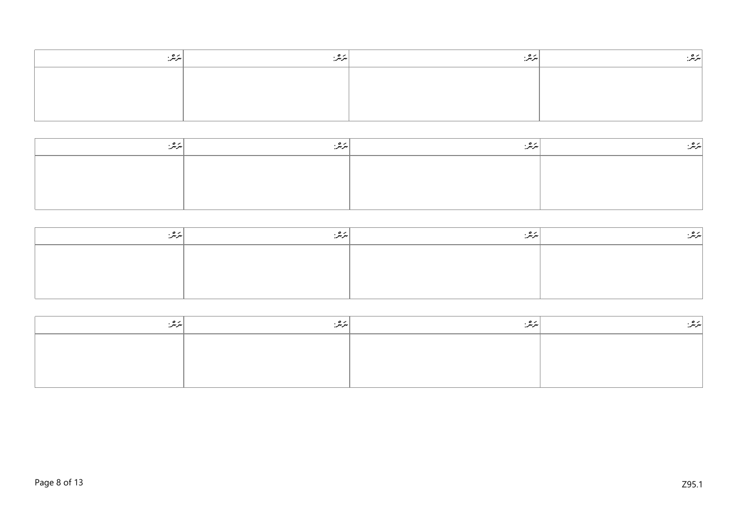| يره. | ο. | ا ير ه |  |
|------|----|--------|--|
|      |    |        |  |
|      |    |        |  |
|      |    |        |  |

| متريثر به | 。<br>'سرسر'۔ | يتزيترا | سرسر |
|-----------|--------------|---------|------|
|           |              |         |      |
|           |              |         |      |
|           |              |         |      |

| ىئرىتر. | $\sim$ | ا بر هه. | لىرىش |
|---------|--------|----------|-------|
|         |        |          |       |
|         |        |          |       |
|         |        |          |       |

| يترمثر | $^{\circ}$ | ىر پىر |
|--------|------------|--------|
|        |            |        |
|        |            |        |
|        |            |        |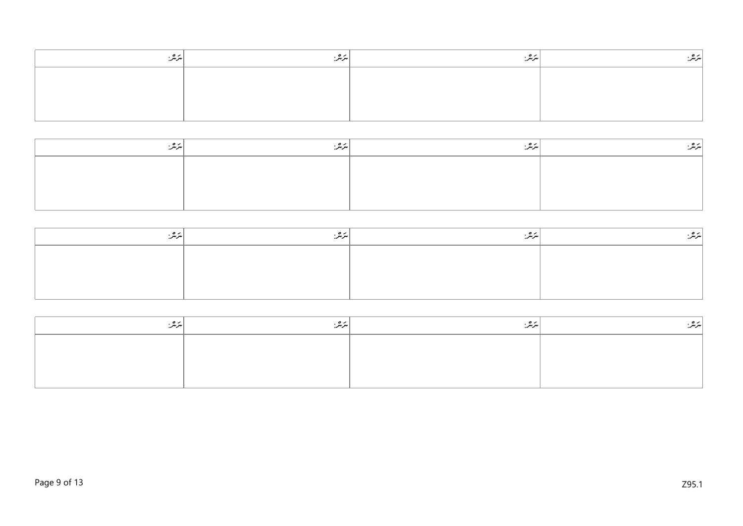| ير هو . | $\overline{\phantom{a}}$ | يرمر | اير هنه. |
|---------|--------------------------|------|----------|
|         |                          |      |          |
|         |                          |      |          |
|         |                          |      |          |

| ىر تىر: | $\circ$ $\sim$<br>" سرسر . | يبرحه | o . |
|---------|----------------------------|-------|-----|
|         |                            |       |     |
|         |                            |       |     |
|         |                            |       |     |

| كترنثر: | 。 | 。<br>سرسر. | o <i>~</i> |
|---------|---|------------|------------|
|         |   |            |            |
|         |   |            |            |
|         |   |            |            |

|  | . ه |
|--|-----|
|  |     |
|  |     |
|  |     |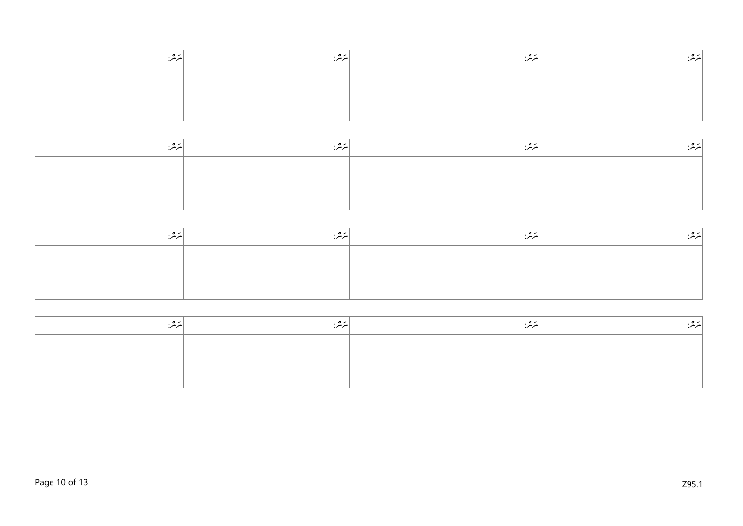| ير هو . | $\overline{\phantom{a}}$ | يرمر | اير هنه. |
|---------|--------------------------|------|----------|
|         |                          |      |          |
|         |                          |      |          |
|         |                          |      |          |

| ئىرتىر: | $\sim$<br>ا سرسر . | يئرمثر | o . |
|---------|--------------------|--------|-----|
|         |                    |        |     |
|         |                    |        |     |
|         |                    |        |     |

| كترنثر: | 。 | 。<br>سرسر. | o <i>~</i> |
|---------|---|------------|------------|
|         |   |            |            |
|         |   |            |            |
|         |   |            |            |

|  | . ه |
|--|-----|
|  |     |
|  |     |
|  |     |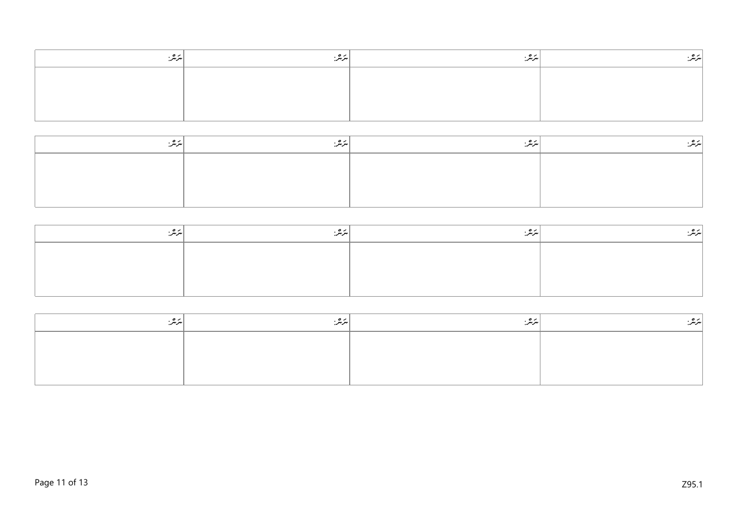| ير هو . | $\overline{\phantom{a}}$ | يرمر | اير هنه. |
|---------|--------------------------|------|----------|
|         |                          |      |          |
|         |                          |      |          |
|         |                          |      |          |

| يريثن | ' سرسر . |  |
|-------|----------|--|
|       |          |  |
|       |          |  |
|       |          |  |

| بر ه | . ه | $\sim$<br>سرسر |  |
|------|-----|----------------|--|
|      |     |                |  |
|      |     |                |  |
|      |     |                |  |

| 。<br>. س | ىرىىر |  |
|----------|-------|--|
|          |       |  |
|          |       |  |
|          |       |  |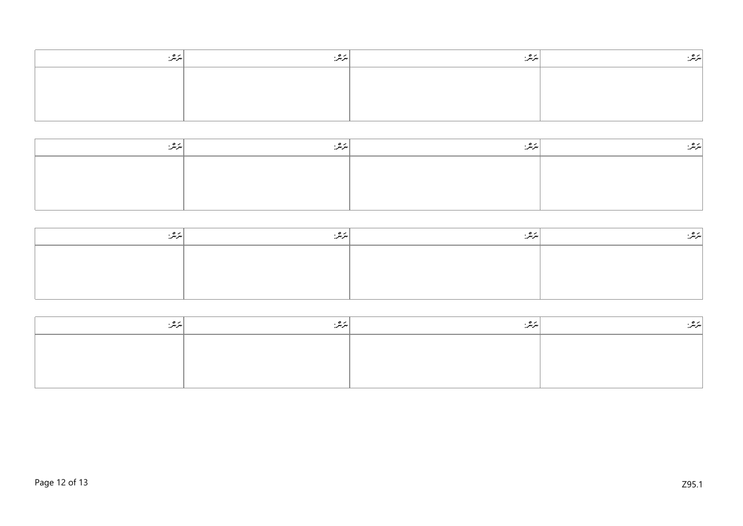| ير هو . | $\overline{\phantom{a}}$ | يرمر | اير هنه. |
|---------|--------------------------|------|----------|
|         |                          |      |          |
|         |                          |      |          |
|         |                          |      |          |

| ىر تىر: | $\circ$ $\sim$<br>" سرسر . | يبرحه | o . |
|---------|----------------------------|-------|-----|
|         |                            |       |     |
|         |                            |       |     |
|         |                            |       |     |

| 'تترنثر: | 。<br>,,,, |  |
|----------|-----------|--|
|          |           |  |
|          |           |  |
|          |           |  |

|  | . ه |
|--|-----|
|  |     |
|  |     |
|  |     |